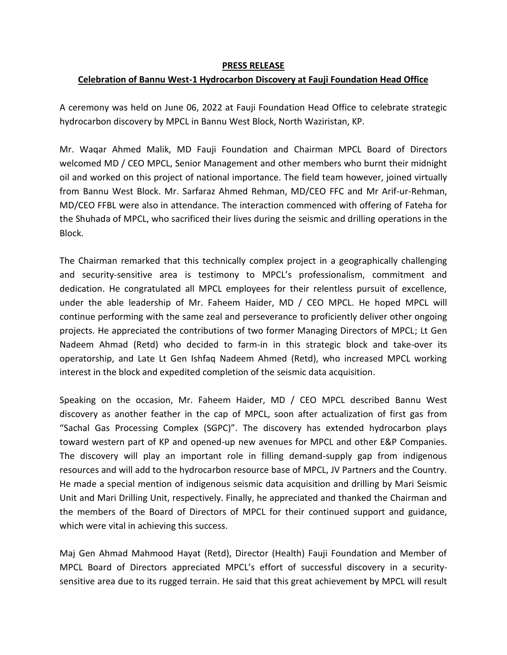## **PRESS RELEASE**

## **Celebration of Bannu West-1 Hydrocarbon Discovery at Fauji Foundation Head Office**

A ceremony was held on June 06, 2022 at Fauji Foundation Head Office to celebrate strategic hydrocarbon discovery by MPCL in Bannu West Block, North Waziristan, KP.

Mr. Waqar Ahmed Malik, MD Fauji Foundation and Chairman MPCL Board of Directors welcomed MD / CEO MPCL, Senior Management and other members who burnt their midnight oil and worked on this project of national importance. The field team however, joined virtually from Bannu West Block. Mr. Sarfaraz Ahmed Rehman, MD/CEO FFC and Mr Arif-ur-Rehman, MD/CEO FFBL were also in attendance. The interaction commenced with offering of Fateha for the Shuhada of MPCL, who sacrificed their lives during the seismic and drilling operations in the Block.

The Chairman remarked that this technically complex project in a geographically challenging and security-sensitive area is testimony to MPCL's professionalism, commitment and dedication. He congratulated all MPCL employees for their relentless pursuit of excellence, under the able leadership of Mr. Faheem Haider, MD / CEO MPCL. He hoped MPCL will continue performing with the same zeal and perseverance to proficiently deliver other ongoing projects. He appreciated the contributions of two former Managing Directors of MPCL; Lt Gen Nadeem Ahmad (Retd) who decided to farm-in in this strategic block and take-over its operatorship, and Late Lt Gen Ishfaq Nadeem Ahmed (Retd), who increased MPCL working interest in the block and expedited completion of the seismic data acquisition.

Speaking on the occasion, Mr. Faheem Haider, MD / CEO MPCL described Bannu West discovery as another feather in the cap of MPCL, soon after actualization of first gas from "Sachal Gas Processing Complex (SGPC)". The discovery has extended hydrocarbon plays toward western part of KP and opened-up new avenues for MPCL and other E&P Companies. The discovery will play an important role in filling demand-supply gap from indigenous resources and will add to the hydrocarbon resource base of MPCL, JV Partners and the Country. He made a special mention of indigenous seismic data acquisition and drilling by Mari Seismic Unit and Mari Drilling Unit, respectively. Finally, he appreciated and thanked the Chairman and the members of the Board of Directors of MPCL for their continued support and guidance, which were vital in achieving this success.

Maj Gen Ahmad Mahmood Hayat (Retd), Director (Health) Fauji Foundation and Member of MPCL Board of Directors appreciated MPCL's effort of successful discovery in a securitysensitive area due to its rugged terrain. He said that this great achievement by MPCL will result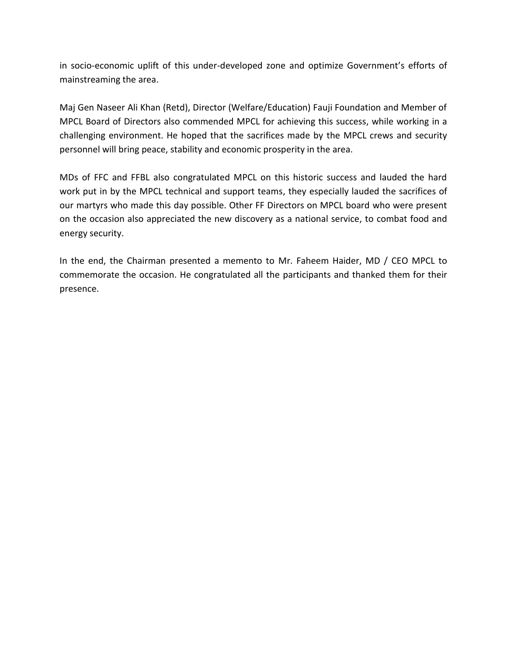in socio-economic uplift of this under-developed zone and optimize Government's efforts of mainstreaming the area.

Maj Gen Naseer Ali Khan (Retd), Director (Welfare/Education) Fauji Foundation and Member of MPCL Board of Directors also commended MPCL for achieving this success, while working in a challenging environment. He hoped that the sacrifices made by the MPCL crews and security personnel will bring peace, stability and economic prosperity in the area.

MDs of FFC and FFBL also congratulated MPCL on this historic success and lauded the hard work put in by the MPCL technical and support teams, they especially lauded the sacrifices of our martyrs who made this day possible. Other FF Directors on MPCL board who were present on the occasion also appreciated the new discovery as a national service, to combat food and energy security.

In the end, the Chairman presented a memento to Mr. Faheem Haider, MD / CEO MPCL to commemorate the occasion. He congratulated all the participants and thanked them for their presence.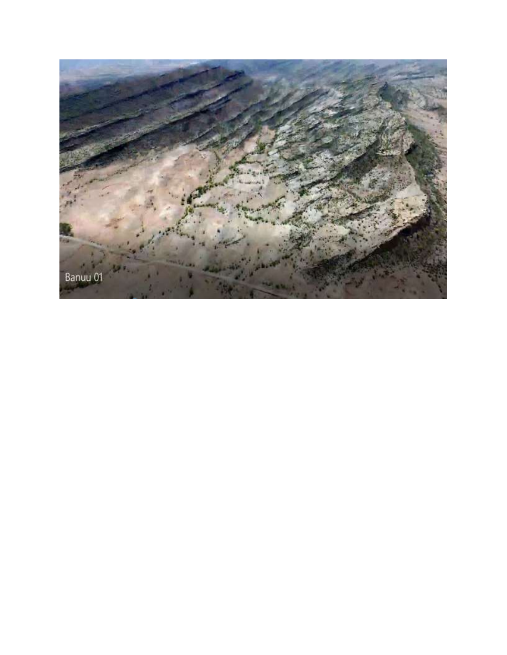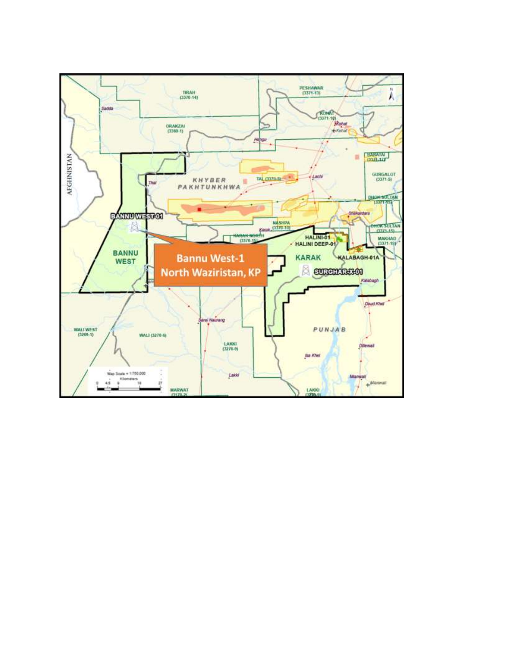